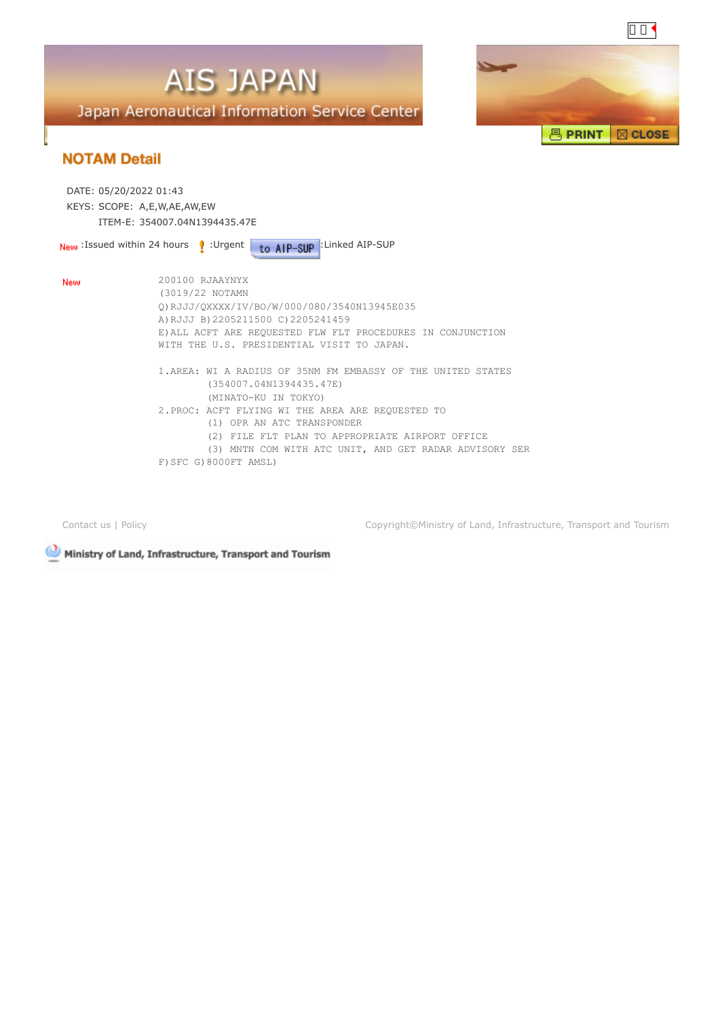



|     | DATE: 05/20/2022 01:43<br>KEYS: SCOPE: A,E,W,AE,AW,EW<br>ITEM-E: 354007.04N1394435.47E                                                                                                                                                                                                                                                                                                                                                                                                                                                                                              |
|-----|-------------------------------------------------------------------------------------------------------------------------------------------------------------------------------------------------------------------------------------------------------------------------------------------------------------------------------------------------------------------------------------------------------------------------------------------------------------------------------------------------------------------------------------------------------------------------------------|
|     | to AIP-SUP : Linked AIP-SUP<br><b>New</b> Issued within 24 hours $\mathbf{\Psi}$ Urgent                                                                                                                                                                                                                                                                                                                                                                                                                                                                                             |
| New | 200100 RJAAYNYX<br>(3019/22 NOTAMN<br>0) RJJJ/0XXXX/IV/BO/W/000/080/3540N13945E035<br>A) RJJJ B) 2205211500 C) 2205241459<br>E) ALL ACFT ARE REQUESTED FLW FLT PROCEDURES IN CONJUNCTION<br>WITH THE U.S. PRESIDENTIAL VISIT TO JAPAN.<br>1. AREA: WI A RADIUS OF 35NM FM EMBASSY OF THE UNITED STATES<br>(354007.04N1394435.47E)<br>(MINATO-KU IN TOKYO)<br>2. PROC: ACFT FLYING WI THE AREA ARE REQUESTED TO<br>(1) OPR AN ATC TRANSPONDER<br>(2) FILE FLT PLAN TO APPROPRIATE AIRPORT OFFICE<br>(3) MNTN COM WITH ATC UNIT, AND GET RADAR ADVISORY SER<br>F) SFC G) 8000FT AMSL) |
|     |                                                                                                                                                                                                                                                                                                                                                                                                                                                                                                                                                                                     |

[Contact us](mailto:helpdesk@ais.mlit.go.jp) | [Policy](https://aisjapan.mlit.go.jp/PolicyDispAction.do) Copyright©Ministry of Land, Infrastructure, Transport and Tourism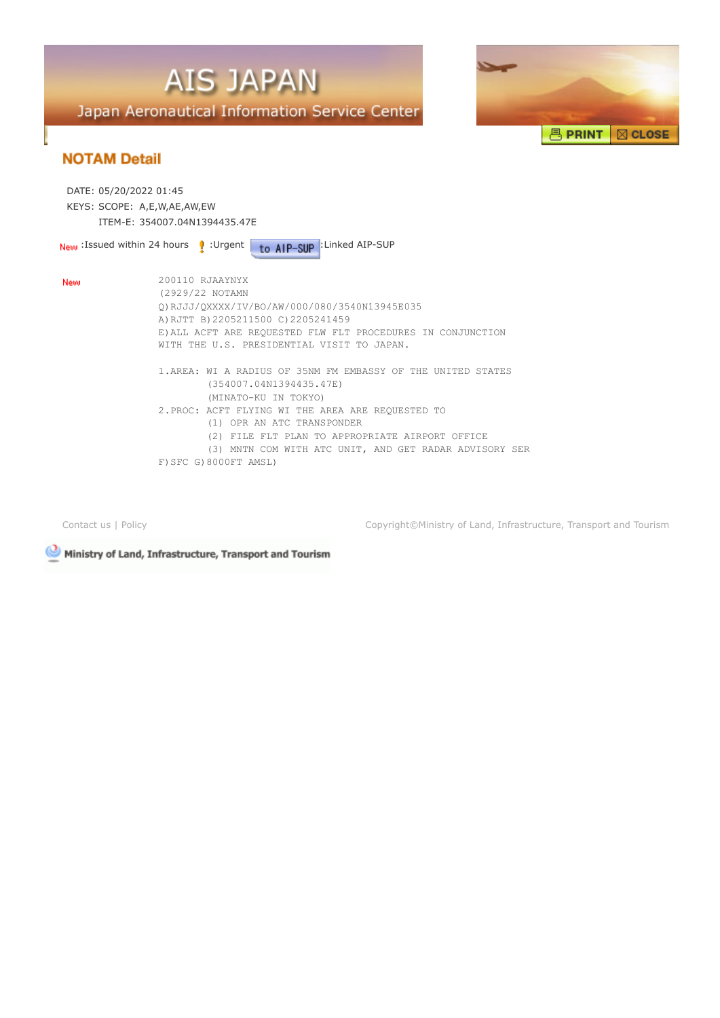



| DATE: 05/20/2022 01:45<br>KEYS: SCOPE: A,E,W,AE,AW,EW<br>ITEM-F: 354007.04N1394435.47F |                                                                                                                                                                                                                                                                                                                                           |
|----------------------------------------------------------------------------------------|-------------------------------------------------------------------------------------------------------------------------------------------------------------------------------------------------------------------------------------------------------------------------------------------------------------------------------------------|
|                                                                                        | to AIP-SUP : Linked AIP-SUP<br><b>New</b> : Issued within 24 hours <b>P</b> : Urgent                                                                                                                                                                                                                                                      |
| New                                                                                    | 200110 RJAAYNYX<br>(2929/22 NOTAMN<br>0) RJJJ/QXXXX/IV/BO/AW/000/080/3540N13945E035<br>A) RJTT B) 2205211500 C) 2205241459<br>E) ALL ACFT ARE REOUESTED FLW FLT PROCEDURES IN CONJUNCTION<br>WITH THE U.S. PRESIDENTIAL VISIT TO JAPAN.                                                                                                   |
|                                                                                        | 1. AREA: WI A RADIUS OF 35NM FM EMBASSY OF THE UNITED STATES<br>(354007.04N1394435.47E)<br>(MINATO-KU IN TOKYO)<br>2. PROC: ACFT FLYING WI THE AREA ARE REQUESTED TO<br>(1) OPR AN ATC TRANSPONDER<br>(2) FILE FLT PLAN TO APPROPRIATE AIRPORT OFFICE<br>(3) MNTN COM WITH ATC UNIT, AND GET RADAR ADVISORY SER<br>F) SFC G) 8000FT AMSL) |

[Contact us](mailto:helpdesk@ais.mlit.go.jp) | [Policy](https://aisjapan.mlit.go.jp/PolicyDispAction.do) Copyright©Ministry of Land, Infrastructure, Transport and Tourism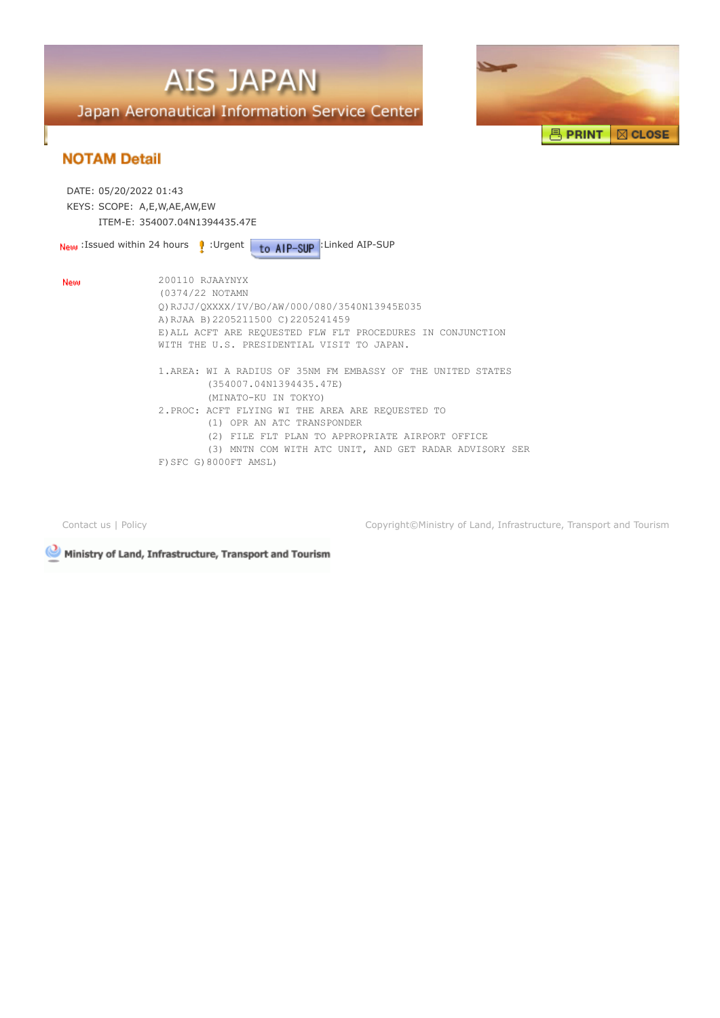



| DATE: 05/20/2022 01:43 | KEYS: SCOPE: A,E,W,AE,AW,EW                                                                                                                                                                                                                                                                                                               |  |
|------------------------|-------------------------------------------------------------------------------------------------------------------------------------------------------------------------------------------------------------------------------------------------------------------------------------------------------------------------------------------|--|
|                        | ITEM-F: 354007.04N1394435.47F<br>to AIP-SUP : Linked AIP-SUP<br><b>New</b> Issued within 24 hours $\mathbf{\Psi}$ : Urgent                                                                                                                                                                                                                |  |
| New                    | 200110 RJAAYNYX<br>(0374/22 NOTAMN<br>0) RJJJ/0XXXX/IV/BO/AW/000/080/3540N13945E035<br>A) RJAA B) 2205211500 C) 2205241459<br>E) ALL ACFT ARE REOUESTED FLW FLT PROCEDURES IN CONJUNCTION<br>WITH THE U.S. PRESIDENTIAL VISIT TO JAPAN.                                                                                                   |  |
|                        | 1. AREA: WI A RADIUS OF 35NM FM EMBASSY OF THE UNITED STATES<br>(354007.04N1394435.47E)<br>(MINATO-KU IN TOKYO)<br>2. PROC: ACFT FLYING WI THE AREA ARE REQUESTED TO<br>(1) OPR AN ATC TRANSPONDER<br>(2) FILE FLT PLAN TO APPROPRIATE AIRPORT OFFICE<br>(3) MNTN COM WITH ATC UNIT, AND GET RADAR ADVISORY SER<br>F) SFC G) 8000FT AMSL) |  |

[Contact us](mailto:helpdesk@ais.mlit.go.jp) | [Policy](https://aisjapan.mlit.go.jp/PolicyDispAction.do) Copyright©Ministry of Land, Infrastructure, Transport and Tourism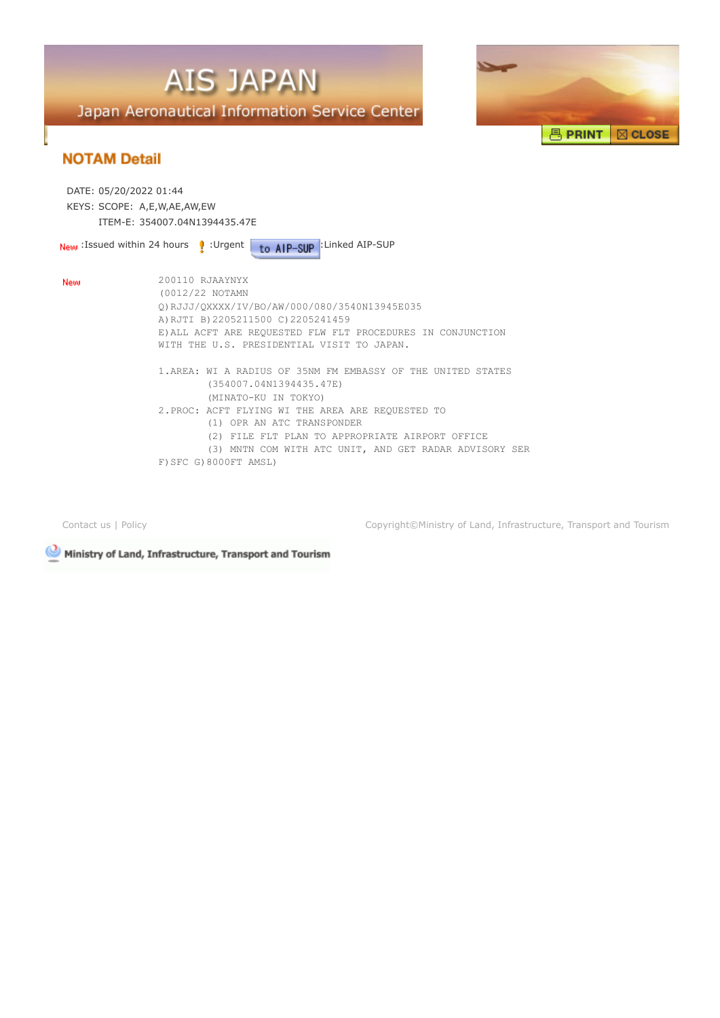



| DATE: 05/20/2022 01:44<br>KEYS: SCOPE: A,E,W,AE,AW,EW<br>ITEM-F: 354007.04N1394435.47F |                                                                                                                                                                                                                                                                                                                                           |
|----------------------------------------------------------------------------------------|-------------------------------------------------------------------------------------------------------------------------------------------------------------------------------------------------------------------------------------------------------------------------------------------------------------------------------------------|
|                                                                                        | to AIP-SUP : Linked AIP-SUP<br>$_{\text{New}}$ Issued within 24 hours $_{\text{P}}$ : Urgent                                                                                                                                                                                                                                              |
| New                                                                                    | 200110 RJAAYNYX<br>(0012/22 NOTAMN<br>0) RJJJ/0XXXX/IV/BO/AW/000/080/3540N13945E035<br>A) RJTI B) 2205211500 C) 2205241459<br>E) ALL ACFT ARE REQUESTED FLW FLT PROCEDURES IN CONJUNCTION<br>WITH THE U.S. PRESIDENTIAL VISIT TO JAPAN.                                                                                                   |
|                                                                                        | 1. AREA: WI A RADIUS OF 35NM FM EMBASSY OF THE UNITED STATES<br>(354007.04N1394435.47E)<br>(MINATO-KU IN TOKYO)<br>2. PROC: ACFT FLYING WI THE AREA ARE REQUESTED TO<br>(1) OPR AN ATC TRANSPONDER<br>(2) FILE FLT PLAN TO APPROPRIATE AIRPORT OFFICE<br>(3) MNTN COM WITH ATC UNIT, AND GET RADAR ADVISORY SER<br>F) SFC G) 8000FT AMSL) |

[Contact us](mailto:helpdesk@ais.mlit.go.jp) | [Policy](https://aisjapan.mlit.go.jp/PolicyDispAction.do) Copyright©Ministry of Land, Infrastructure, Transport and Tourism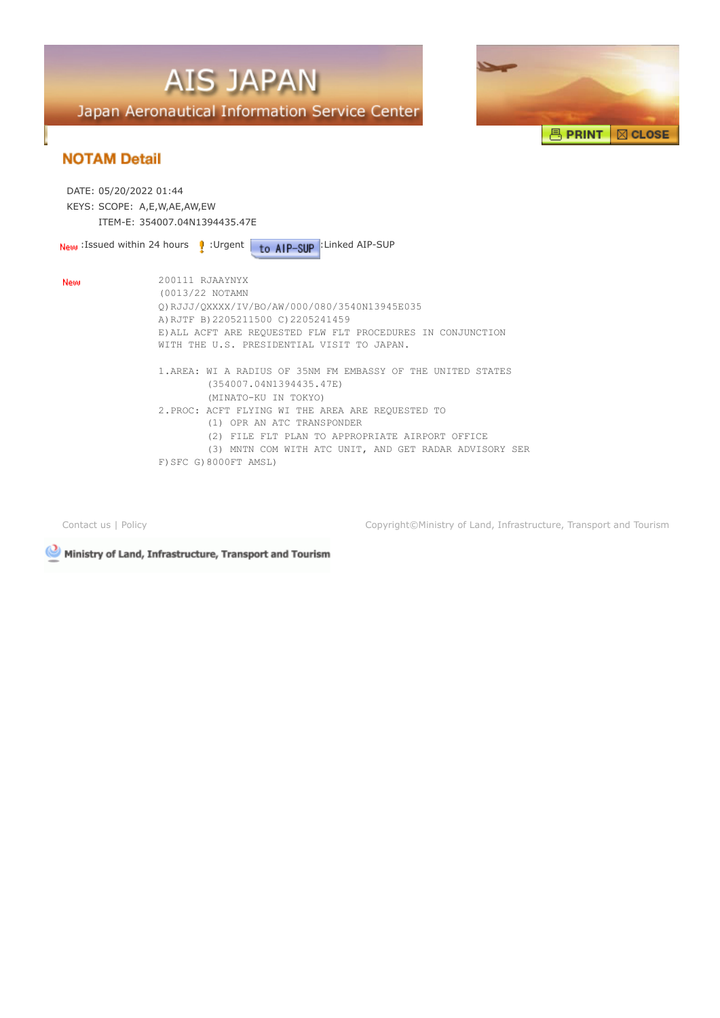



| DATE: 05/20/2022 01:44<br>KEYS: SCOPE: A,E,W,AE,AW,EW<br>ITEM-F: 354007.04N1394435.47F |                                                                                                                                                                                                                                                                                                                                           |
|----------------------------------------------------------------------------------------|-------------------------------------------------------------------------------------------------------------------------------------------------------------------------------------------------------------------------------------------------------------------------------------------------------------------------------------------|
|                                                                                        | to AIP-SUP : Linked AIP-SUP<br>New :Issued within 24 hours 2. Urgent                                                                                                                                                                                                                                                                      |
| New                                                                                    | 200111 RJAAYNYX<br>(0013/22 NOTAMN<br>0) RJJJ/0XXXX/IV/BO/AW/000/080/3540N13945E035<br>A) RJTF B) 2205211500 C) 2205241459<br>E) ALL ACFT ARE REQUESTED FLW FLT PROCEDURES IN CONJUNCTION<br>WITH THE U.S. PRESIDENTIAL VISIT TO JAPAN.                                                                                                   |
|                                                                                        | 1. AREA: WI A RADIUS OF 35NM FM EMBASSY OF THE UNITED STATES<br>(354007.04N1394435.47E)<br>(MINATO-KU IN TOKYO)<br>2. PROC: ACFT FLYING WI THE AREA ARE REQUESTED TO<br>(1) OPR AN ATC TRANSPONDER<br>(2) FILE FLT PLAN TO APPROPRIATE AIRPORT OFFICE<br>(3) MNTN COM WITH ATC UNIT, AND GET RADAR ADVISORY SER<br>F) SFC G) 8000FT AMSL) |

[Contact us](mailto:helpdesk@ais.mlit.go.jp) | [Policy](https://aisjapan.mlit.go.jp/PolicyDispAction.do) Copyright©Ministry of Land, Infrastructure, Transport and Tourism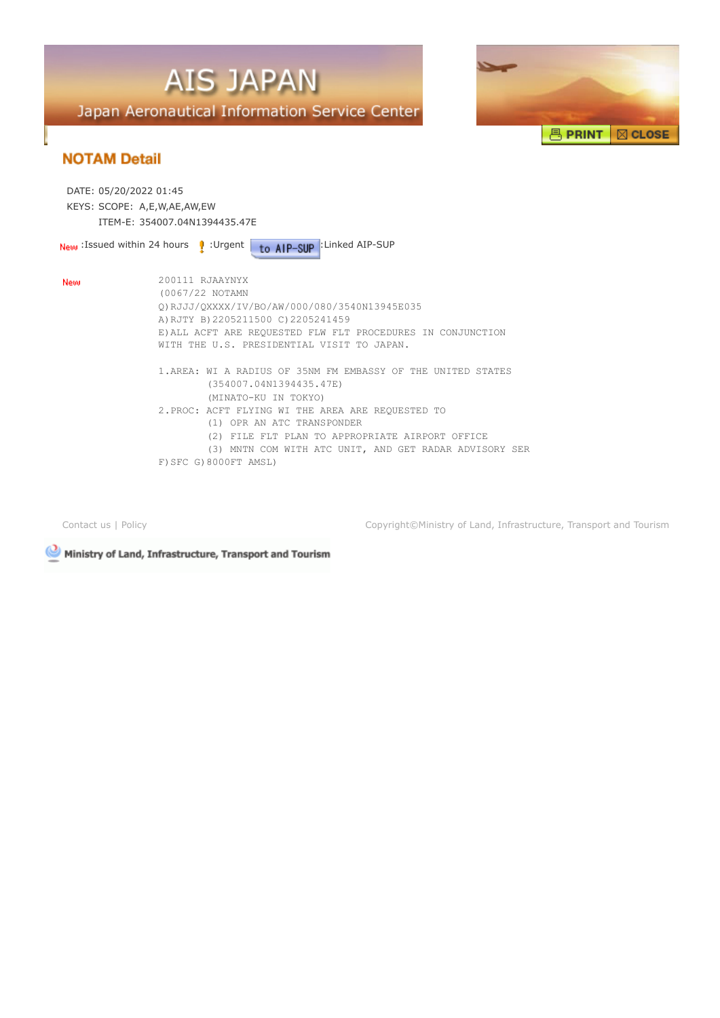



| DATE: 05/20/2022 01:45      |                                                                                                                                                                                                                                                                                                                                                                                                                                                                                                  |
|-----------------------------|--------------------------------------------------------------------------------------------------------------------------------------------------------------------------------------------------------------------------------------------------------------------------------------------------------------------------------------------------------------------------------------------------------------------------------------------------------------------------------------------------|
| KEYS: SCOPE: A,E,W,AE,AW,EW |                                                                                                                                                                                                                                                                                                                                                                                                                                                                                                  |
|                             | ITEM-F: 354007.04N1394435.47F                                                                                                                                                                                                                                                                                                                                                                                                                                                                    |
|                             | to AIP-SUP : Linked AIP-SUP<br><b>New</b> : Issued within 24 hours <b>P</b> : Urgent                                                                                                                                                                                                                                                                                                                                                                                                             |
| New                         | 200111 RJAAYNYX<br>(0067/22 NOTAMN<br>0) RJJJ/QXXXX/IV/BO/AW/000/080/3540N13945E035<br>A) RJTY B) 2205211500 C) 2205241459<br>E) ALL ACFT ARE REQUESTED FLW FLT PROCEDURES IN CONJUNCTION<br>WITH THE U.S. PRESIDENTIAL VISIT TO JAPAN.<br>1. AREA: WI A RADIUS OF 35NM FM EMBASSY OF THE UNITED STATES<br>(354007.04N1394435.47E)<br>(MINATO-KU IN TOKYO)<br>2. PROC: ACFT FLYING WI THE AREA ARE REQUESTED TO<br>(1) OPR AN ATC TRANSPONDER<br>(2) FILE FLT PLAN TO APPROPRIATE AIRPORT OFFICE |
|                             | (3) MNTN COM WITH ATC UNIT, AND GET RADAR ADVISORY SER<br>F) SFC G) 8000FT AMSL)                                                                                                                                                                                                                                                                                                                                                                                                                 |

[Contact us](mailto:helpdesk@ais.mlit.go.jp) | [Policy](https://aisjapan.mlit.go.jp/PolicyDispAction.do) Copyright©Ministry of Land, Infrastructure, Transport and Tourism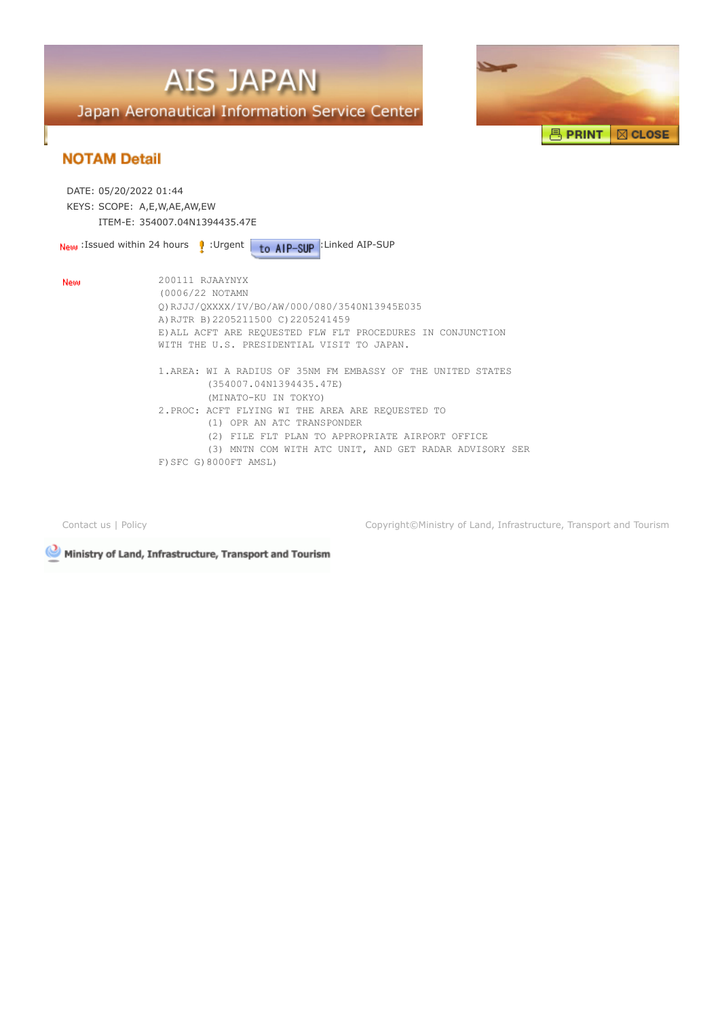



| DATE: 05/20/2022 01:44<br>KEYS: SCOPE: A,E,W,AE,AW,EW<br>ITEM-E: 354007.04N1394435.47E |                                                                                                                                                                                                                                                                                                                                           |
|----------------------------------------------------------------------------------------|-------------------------------------------------------------------------------------------------------------------------------------------------------------------------------------------------------------------------------------------------------------------------------------------------------------------------------------------|
|                                                                                        | to AIP-SUP : Linked AIP-SUP<br><b>New</b> : Issued within 24 hours <b>P</b> : Urgent                                                                                                                                                                                                                                                      |
| New                                                                                    | 200111 RJAAYNYX<br>(0006/22 NOTAMN<br>0) RJJJ/0XXXX/IV/BO/AW/000/080/3540N13945E035<br>A) RJTR B) 2205211500 C) 2205241459<br>E) ALL ACFT ARE REQUESTED FLW FLT PROCEDURES IN CONJUNCTION<br>WITH THE U.S. PRESIDENTIAL VISIT TO JAPAN.                                                                                                   |
|                                                                                        | 1. AREA: WI A RADIUS OF 35NM FM EMBASSY OF THE UNITED STATES<br>(354007.04N1394435.47E)<br>(MINATO-KU IN TOKYO)<br>2. PROC: ACFT FLYING WI THE AREA ARE REQUESTED TO<br>(1) OPR AN ATC TRANSPONDER<br>(2) FILE FLT PLAN TO APPROPRIATE AIRPORT OFFICE<br>(3) MNTN COM WITH ATC UNIT, AND GET RADAR ADVISORY SER<br>F) SFC G) 8000FT AMSL) |

[Contact us](mailto:helpdesk@ais.mlit.go.jp) | [Policy](https://aisjapan.mlit.go.jp/PolicyDispAction.do) Copyright©Ministry of Land, Infrastructure, Transport and Tourism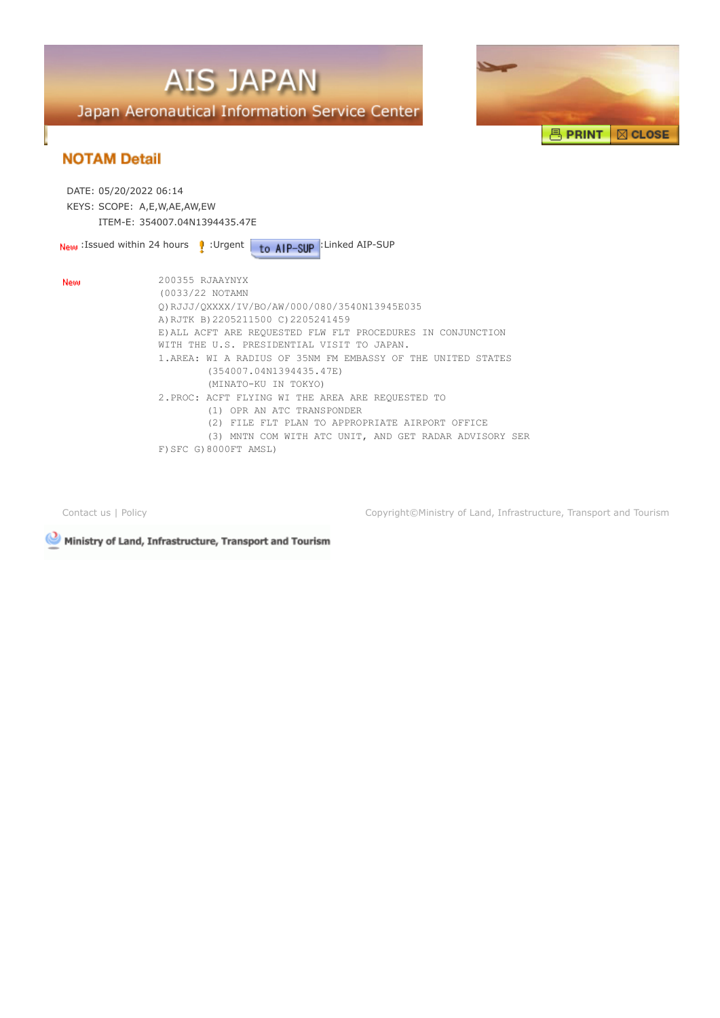



| DATE: 05/20/2022 06:14<br>KEYS: SCOPE: A,E,W,AE,AW,EW |                                                                                                                                                                                                                                                                                                                                                           |
|-------------------------------------------------------|-----------------------------------------------------------------------------------------------------------------------------------------------------------------------------------------------------------------------------------------------------------------------------------------------------------------------------------------------------------|
|                                                       | ITEM-F: 354007.04N1394435.47F                                                                                                                                                                                                                                                                                                                             |
|                                                       | to AIP-SUP : Linked AIP-SUP<br><b>New</b> Issued within 24 hours <b>P</b> Urgent                                                                                                                                                                                                                                                                          |
| New                                                   | 200355 RJAAYNYX<br>(0033/22 NOTAMN<br>0) RJJJ/0XXXX/IV/BO/AW/000/080/3540N13945E035<br>A) RJTK B) 2205211500 C) 2205241459<br>E) ALL ACFT ARE REOUESTED FLW FLT PROCEDURES IN CONJUNCTION<br>WITH THE U.S. PRESIDENTIAL VISIT TO JAPAN.<br>1.AREA: WI A RADIUS OF 35NM FM EMBASSY OF THE UNITED STATES<br>(354007.04N1394435.47E)<br>(MINATO-KU IN TOKYO) |
|                                                       | 2. PROC: ACFT FLYING WI THE AREA ARE REOUESTED TO<br>(1) OPR AN ATC TRANSPONDER<br>(2) FILE FLT PLAN TO APPROPRIATE AIRPORT OFFICE<br>(3) MNTN COM WITH ATC UNIT, AND GET RADAR ADVISORY SER<br>F) SFC G) 8000FT AMSL)                                                                                                                                    |

[Contact us](mailto:helpdesk@ais.mlit.go.jp) | [Policy](https://aisjapan.mlit.go.jp/PolicyDispAction.do) Copyright©Ministry of Land, Infrastructure, Transport and Tourism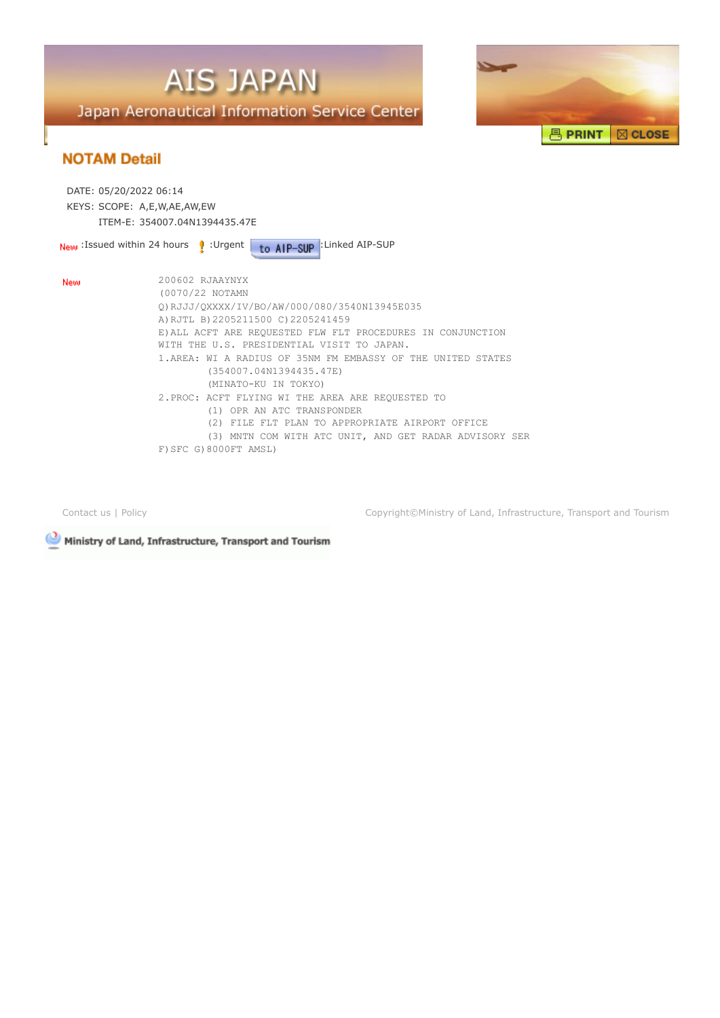



| DATE: 05/20/2022 06:14<br>KEYS: SCOPE: A,E,W,AE,AW,EW | ITEM-F: 354007.04N1394435.47F                                                                                                                                                                                                                                                                                                                                                                                 |
|-------------------------------------------------------|---------------------------------------------------------------------------------------------------------------------------------------------------------------------------------------------------------------------------------------------------------------------------------------------------------------------------------------------------------------------------------------------------------------|
| <b>New</b> Issued within 24 hours <b>P</b> Urgent     | to AIP-SUP : Linked AIP-SUP                                                                                                                                                                                                                                                                                                                                                                                   |
| New                                                   | 200602 RJAAYNYX<br>(0070/22 NOTAMN<br>Q)RJJJ/QXXXX/IV/BO/AW/000/080/3540N13945E035<br>A) RJTL B) 2205211500 C) 2205241459<br>E) ALL ACFT ARE REQUESTED FLW FLT PROCEDURES IN CONJUNCTION<br>WITH THE U.S. PRESIDENTIAL VISIT TO JAPAN.<br>1.AREA: WI A RADIUS OF 35NM FM EMBASSY OF THE UNITED STATES<br>(354007.04N1394435.47E)<br>(MINATO-KU IN TOKYO)<br>2. PROC: ACFT FLYING WI THE AREA ARE REQUESTED TO |
|                                                       | (1) OPR AN ATC TRANSPONDER<br>(2) FILE FLT PLAN TO APPROPRIATE AIRPORT OFFICE<br>(3) MNTN COM WITH ATC UNIT, AND GET RADAR ADVISORY SER<br>$F)$ SFC G) 8000FT AMSL)                                                                                                                                                                                                                                           |

[Contact us](mailto:helpdesk@ais.mlit.go.jp) | [Policy](https://aisjapan.mlit.go.jp/PolicyDispAction.do) Copyright©Ministry of Land, Infrastructure, Transport and Tourism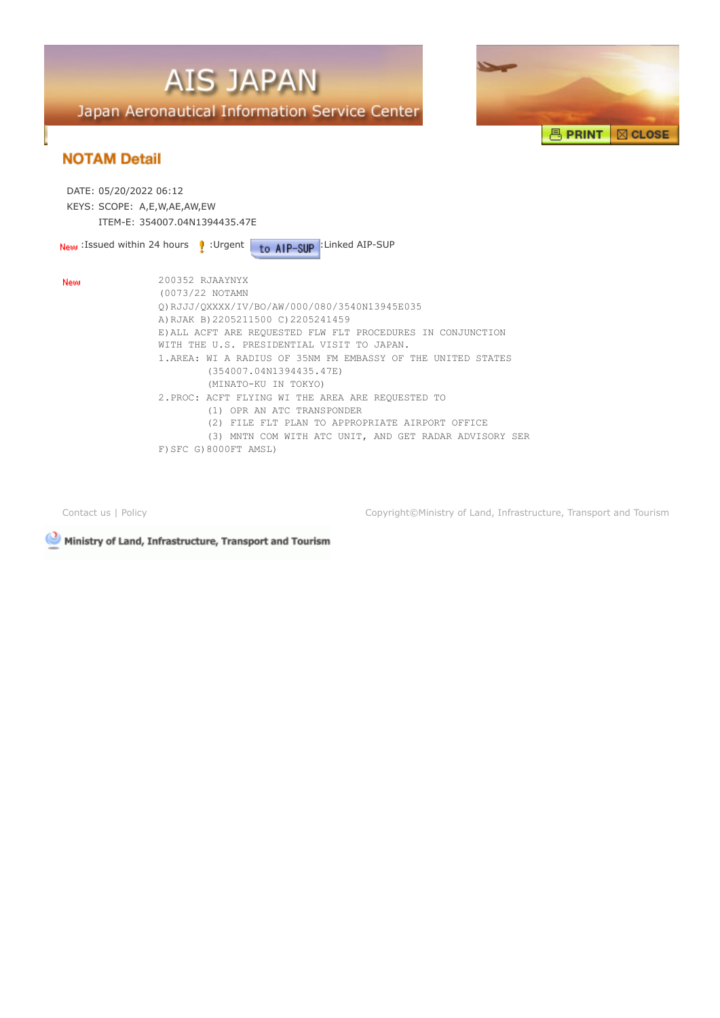



| DATE: 05/20/2022 06:12<br>KEYS: SCOPE: A,E,W,AE,AW,EW | ITEM-E: 354007.04N1394435.47E                                                                                                                                                                                                                                                                                                                             |
|-------------------------------------------------------|-----------------------------------------------------------------------------------------------------------------------------------------------------------------------------------------------------------------------------------------------------------------------------------------------------------------------------------------------------------|
|                                                       | to AIP-SUP : Linked AIP-SUP<br><b>New</b> : Issued within 24 hours <b>P</b> : Urgent                                                                                                                                                                                                                                                                      |
| New                                                   | 200352 RJAAYNYX<br>(0073/22 NOTAMN<br>0) RJJJ/0XXXX/IV/BO/AW/000/080/3540N13945E035<br>A) RJAK B) 2205211500 C) 2205241459<br>E) ALL ACFT ARE REQUESTED FLW FLT PROCEDURES IN CONJUNCTION<br>WITH THE U.S. PRESIDENTIAL VISIT TO JAPAN.<br>1.AREA: WI A RADIUS OF 35NM FM EMBASSY OF THE UNITED STATES<br>(354007.04N1394435.47E)<br>(MINATO-KU IN TOKYO) |
|                                                       | 2. PROC: ACFT FLYING WI THE AREA ARE REQUESTED TO<br>(1) OPR AN ATC TRANSPONDER<br>(2) FILE FLT PLAN TO APPROPRIATE AIRPORT OFFICE<br>(3) MNTN COM WITH ATC UNIT, AND GET RADAR ADVISORY SER<br>F) SFC G) 8000FT AMSL)                                                                                                                                    |

[Contact us](mailto:helpdesk@ais.mlit.go.jp) | [Policy](https://aisjapan.mlit.go.jp/PolicyDispAction.do) Copyright©Ministry of Land, Infrastructure, Transport and Tourism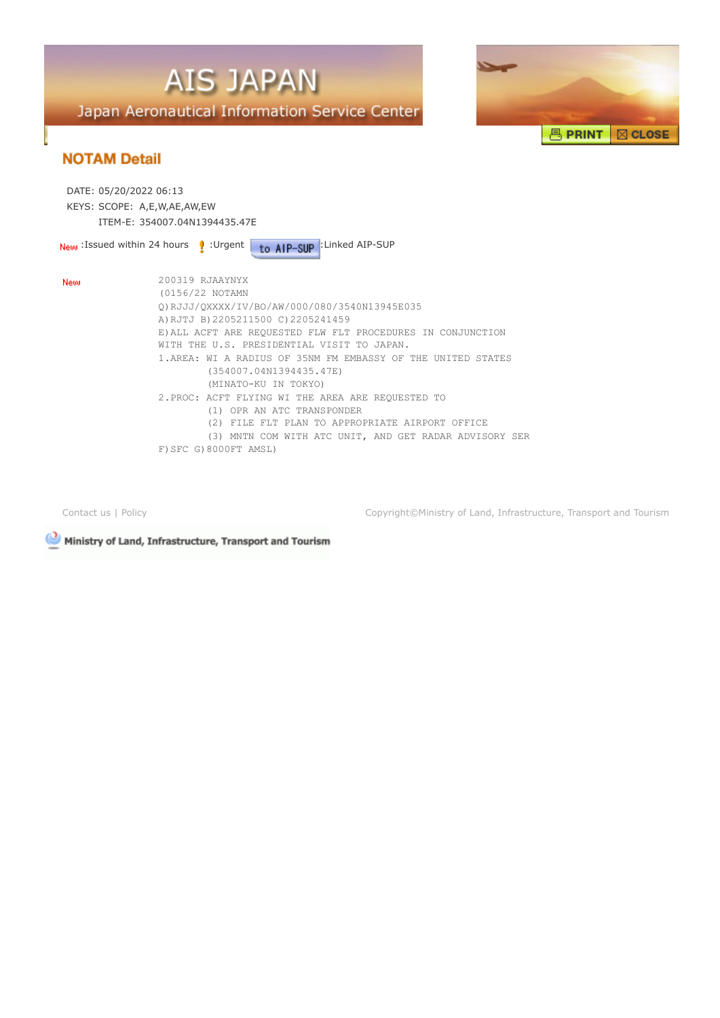



| DATE: 05/20/2022 06:13                              |                                                                                                                                                                                                                                                                                                                                    |
|-----------------------------------------------------|------------------------------------------------------------------------------------------------------------------------------------------------------------------------------------------------------------------------------------------------------------------------------------------------------------------------------------|
| KEYS: SCOPE: A,E,W,AE,AW,EW                         |                                                                                                                                                                                                                                                                                                                                    |
| ITEM-F: 354007.04N1394435.47F                       |                                                                                                                                                                                                                                                                                                                                    |
| <b>New</b> Issued within 24 hours <b>P</b> : Urgent | to AIP-SUP : Linked AIP-SUP                                                                                                                                                                                                                                                                                                        |
| New                                                 | 200319 RJAAYNYX<br>(0156/22 NOTAMN<br>0) RJJJ/0XXXX/IV/BO/AW/000/080/3540N13945E035<br>A) RJTJ B) 2205211500 C) 2205241459<br>E) ALL ACFT ARE REOUESTED FLW FLT PROCEDURES IN CONJUNCTION<br>WITH THE U.S. PRESIDENTIAL VISIT TO JAPAN.<br>1. AREA: WI A RADIUS OF 35NM FM EMBASSY OF THE UNITED STATES<br>(354007.04N1394435.47E) |
|                                                     | (MINATO-KU IN TOKYO)<br>2. PROC: ACFT FLYING WI THE AREA ARE REOUESTED TO<br>(1) OPR AN ATC TRANSPONDER<br>(2) FILE FLT PLAN TO APPROPRIATE AIRPORT OFFICE<br>(3) MNTN COM WITH ATC UNIT, AND GET RADAR ADVISORY SER<br>F) SFC G) 8000FT AMSL)                                                                                     |

[Contact us](mailto:helpdesk@ais.mlit.go.jp) | [Policy](https://aisjapan.mlit.go.jp/PolicyDispAction.do) Copyright©Ministry of Land, Infrastructure, Transport and Tourism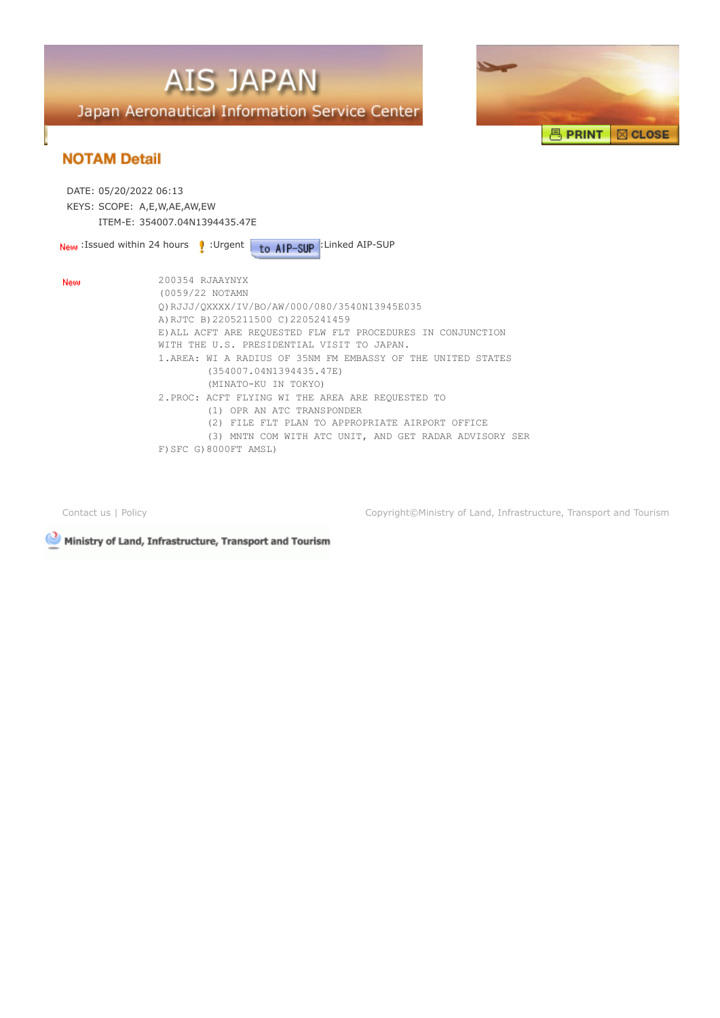



| DATE: 05/20/2022 06:13                              |                                                                                                                                                                                                                                                                                                                                                           |
|-----------------------------------------------------|-----------------------------------------------------------------------------------------------------------------------------------------------------------------------------------------------------------------------------------------------------------------------------------------------------------------------------------------------------------|
| KEYS: SCOPE: A,E,W,AE,AW,EW                         |                                                                                                                                                                                                                                                                                                                                                           |
|                                                     | ITEM-E: 354007.04N1394435.47E                                                                                                                                                                                                                                                                                                                             |
| <b>New</b> Issued within 24 hours <b>P</b> : Urgent | to AIP-SUP : Linked AIP-SUP                                                                                                                                                                                                                                                                                                                               |
| New                                                 | 200354 RJAAYNYX<br>(0059/22 NOTAMN<br>0) RJJJ/0XXXX/IV/BO/AW/000/080/3540N13945E035<br>A) RJTC B) 2205211500 C) 2205241459<br>E) ALL ACFT ARE REQUESTED FLW FLT PROCEDURES IN CONJUNCTION<br>WITH THE U.S. PRESIDENTIAL VISIT TO JAPAN.<br>1.AREA: WI A RADIUS OF 35NM FM EMBASSY OF THE UNITED STATES<br>(354007.04N1394435.47E)<br>(MINATO-KU IN TOKYO) |
|                                                     | 2. PROC: ACFT FLYING WI THE AREA ARE REOUESTED TO<br>(1) OPR AN ATC TRANSPONDER<br>(2) FILE FLT PLAN TO APPROPRIATE AIRPORT OFFICE<br>(3) MNTN COM WITH ATC UNIT, AND GET RADAR ADVISORY SER<br>F) SFC G) 8000FT AMSL)                                                                                                                                    |

[Contact us](mailto:helpdesk@ais.mlit.go.jp) | [Policy](https://aisjapan.mlit.go.jp/PolicyDispAction.do) Copyright©Ministry of Land, Infrastructure, Transport and Tourism